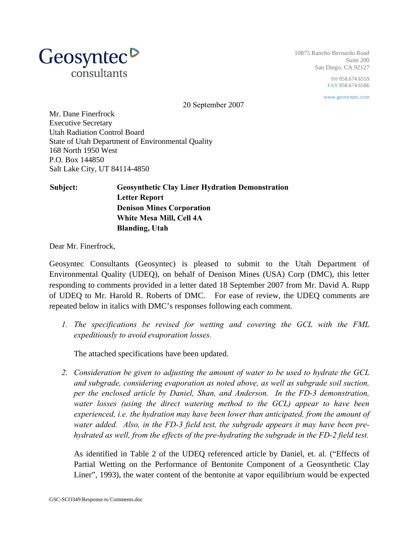

10875 Rancho Bernardo Road Suite 200 San Diego, CA 92127

> PH 858.674.6559 FAX 858.674.6586

www.geosyntec.com

20 September 2007

Mr. Dane Finerfrock Executive Secretary Utah Radiation Control Board State of Utah Department of Environmental Quality 168 North 1950 West P.O. Box 144850 Salt Lake City, UT 84114-4850

## **Subject: Geosynthetic Clay Liner Hydration Demonstration Letter Report Denison Mines Corporation White Mesa Mill, Cell 4A Blanding, Utah**

Dear Mr. Finerfrock,

Geosyntec Consultants (Geosyntec) is pleased to submit to the Utah Department of Environmental Quality (UDEQ), on behalf of Denison Mines (USA) Corp (DMC), this letter responding to comments provided in a letter dated 18 September 2007 from Mr. David A. Rupp of UDEQ to Mr. Harold R. Roberts of DMC. For ease of review, the UDEQ comments are repeated below in italics with DMC's responses following each comment.

*1. The specifications be revised for wetting and covering the GCL with the FML expeditiously to avoid evaporation losses.* 

The attached specifications have been updated.

*2. Consideration be given to adjusting the amount of water to be used to hydrate the GCL and subgrade, considering evaporation as noted above, as well as subgrade soil suction, per the enclosed article by Daniel, Shan, and Anderson. In the FD-3 demonstration, water losses (using the direct watering method to the GCL) appear to have been experienced, i.e. the hydration may have been lower than anticipated, from the amount of water added. Also, in the FD-3 field test, the subgrade appears it may have been prehydrated as well, from the effects of the pre-hydrating the subgrade in the FD-2 field test.* 

As identified in Table 2 of the UDEQ referenced article by Daniel, et. al. ("Effects of Partial Wetting on the Performance of Bentonite Component of a Geosynthetic Clay Liner", 1993), the water content of the bentonite at vapor equilibrium would be expected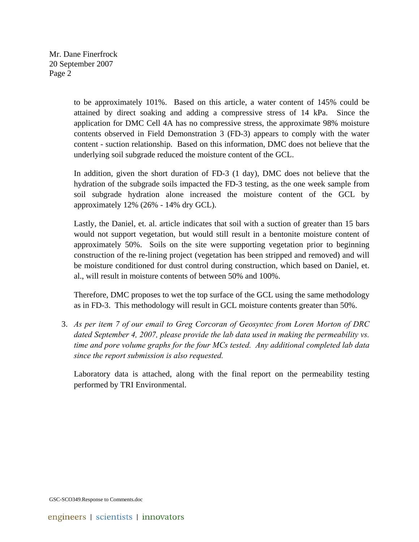Mr. Dane Finerfrock 20 September 2007 Page 2

> to be approximately 101%. Based on this article, a water content of 145% could be attained by direct soaking and adding a compressive stress of 14 kPa. Since the application for DMC Cell 4A has no compressive stress, the approximate 98% moisture contents observed in Field Demonstration 3 (FD-3) appears to comply with the water content - suction relationship. Based on this information, DMC does not believe that the underlying soil subgrade reduced the moisture content of the GCL.

> In addition, given the short duration of FD-3 (1 day), DMC does not believe that the hydration of the subgrade soils impacted the FD-3 testing, as the one week sample from soil subgrade hydration alone increased the moisture content of the GCL by approximately 12% (26% - 14% dry GCL).

> Lastly, the Daniel, et. al. article indicates that soil with a suction of greater than 15 bars would not support vegetation, but would still result in a bentonite moisture content of approximately 50%. Soils on the site were supporting vegetation prior to beginning construction of the re-lining project (vegetation has been stripped and removed) and will be moisture conditioned for dust control during construction, which based on Daniel, et. al., will result in moisture contents of between 50% and 100%.

> Therefore, DMC proposes to wet the top surface of the GCL using the same methodology as in FD-3. This methodology will result in GCL moisture contents greater than 50%.

3. *As per item 7 of our email to Greg Corcoran of Geosyntec from Loren Morton of DRC dated September 4, 2007, please provide the lab data used in making the permeability vs. time and pore volume graphs for the four MCs tested. Any additional completed lab data since the report submission is also requested.* 

Laboratory data is attached, along with the final report on the permeability testing performed by TRI Environmental.

GSC-SCO349.Response to Comments.doc